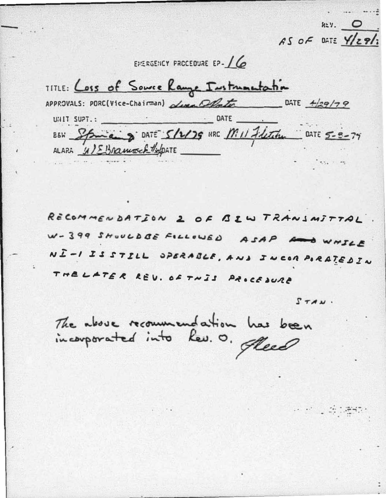$k=y$ .  $\qquad$ AS OF DATE Y/29/3

EMERGENCY PROCEDURE EP-16

TITLE: Loss of Source Range Instrumentation APPROVALS: PORC(Vice-Chairman)  $\Delta t$ <br> $\Delta t$   $\Delta t$  DATE  $\frac{4}{29/79}$ UNIT SUPT.: DATE BEN Spinais DATE 5/2/79 HRC Mill Fletche DATE 5-8-79 ALARA 41 EBRamoch / Spatt

RECOMMENDATION 2 OF BIW TRANSMITTAL W-399 SHOULD BE FILLOWED ASAP And WHILE NI-I IS STILL OPERABLE, AND JUCOR PORATEDIN THE LATER REV. OF THIS PROCEDURE

 $STAW$ .

e na djepa

The above recommendation has been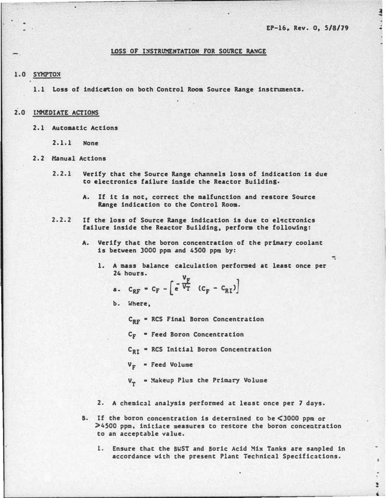$\ddot{=}$ 

÷

### LOSS OF INSTRUMENTATION FOR SOURCE RANGE

# 1.0 SYMPTON

1.1 Loss of indication on both Control Room Source Range instruments.

- 2.0 IMMEDIATE ACTIONS
	- 2.1 Autoaatic Actions
		- 2.1.1 None

#### 2.2 Manual Actions

- 2.2.1 Verify that the Source Range channels loss of indication is due to electronics failure inside the Reactor Buildins.
	- A. If it is not, correct the malfunction and restore Source Range indication to the Control Room.
- 2.2.2 If the loss of Source Range indication is due to el�ctronics failure inside the Reactor Building, perfora the following:
	- A. Verify that the boron concentration of the primary coolant is betveen 3000 ppm and 4500 ppm by:
		- 1. A mass balance calculation performed at least once per 24 hours.
			- 24 hours.  $V_F \rightarrow V_F$ a.  $c_{RF}$  =  $c_F - \left[ e^{\frac{F}{V_T}} (c_F - c_{RT}) \right]$
			- b. Where,

C<sub>RF</sub> = RCS Final Boron Concentration

- C<sub>F</sub> Feed Boron Concentration
- C<sub>RT</sub> = RCS Initial Boron Concentration
- $V_F$  Feed Volume
- V<sub>T</sub> = Makeup Plus the Primary Volume

L\_ \_\_\_\_\_\_\_\_\_\_\_\_\_\_\_\_\_\_\_\_\_\_\_\_\_\_\_\_\_\_\_\_\_\_\_\_\_\_\_\_\_\_\_\_\_\_\_\_\_\_\_\_\_\_\_\_ \_\_\_\_\_\_\_\_ \_\_ \_\_ \_\_\_\_ \_\_ \_\_\_\_\_\_ •

- 2. A chemic�l analysis performed at least once per 7 days.
- B. If the boron concentration is determined to be <3000 ppm or >4500 ppm, initiate measures to restore the boron concentration to an acceptable value.
	- 1. Ensure that the BWST and Boric Acid Mix Tanks are sampled in accordance vith the present Plant Technic�l Specifications.